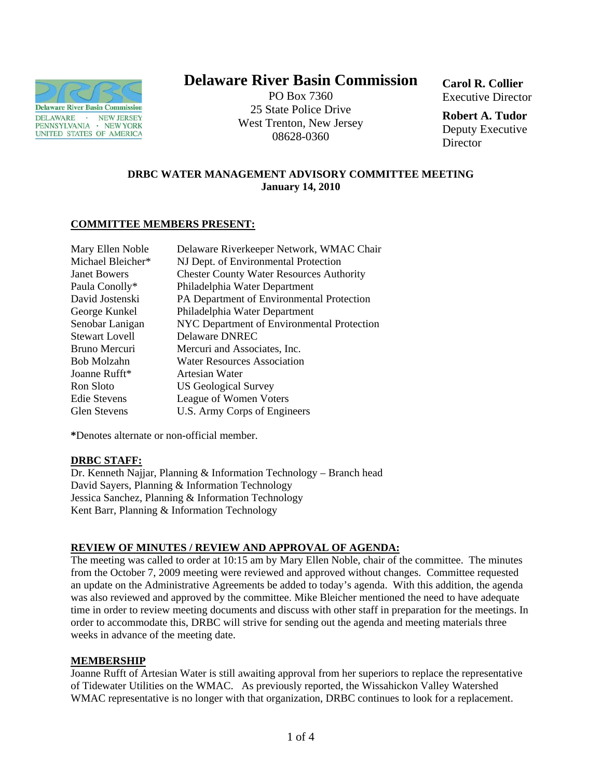

# **Delaware River Basin Commission**

PO Box 7360 25 State Police Drive West Trenton, New Jersey 08628-0360

**Carol R. Collier** Executive Director

**Robert A. Tudor**  Deputy Executive **Director** 

#### **DRBC WATER MANAGEMENT ADVISORY COMMITTEE MEETING January 14, 2010**

#### **COMMITTEE MEMBERS PRESENT:**

| Mary Ellen Noble      | Delaware Riverkeeper Network, WMAC Chair        |
|-----------------------|-------------------------------------------------|
| Michael Bleicher*     | NJ Dept. of Environmental Protection            |
| <b>Janet Bowers</b>   | <b>Chester County Water Resources Authority</b> |
| Paula Conolly*        | Philadelphia Water Department                   |
| David Jostenski       | PA Department of Environmental Protection       |
| George Kunkel         | Philadelphia Water Department                   |
| Senobar Lanigan       | NYC Department of Environmental Protection      |
| <b>Stewart Lovell</b> | Delaware DNREC                                  |
| Bruno Mercuri         | Mercuri and Associates, Inc.                    |
| Bob Molzahn           | <b>Water Resources Association</b>              |
| Joanne Rufft*         | Artesian Water                                  |
| Ron Sloto             | <b>US Geological Survey</b>                     |
| <b>Edie Stevens</b>   | League of Women Voters                          |
| <b>Glen Stevens</b>   | U.S. Army Corps of Engineers                    |

**\***Denotes alternate or non-official member.

#### **DRBC STAFF:**

Dr. Kenneth Najjar, Planning & Information Technology – Branch head David Sayers, Planning & Information Technology Jessica Sanchez, Planning & Information Technology Kent Barr, Planning & Information Technology

#### **REVIEW OF MINUTES / REVIEW AND APPROVAL OF AGENDA:**

The meeting was called to order at 10:15 am by Mary Ellen Noble, chair of the committee. The minutes from the October 7, 2009 meeting were reviewed and approved without changes. Committee requested an update on the Administrative Agreements be added to today's agenda. With this addition, the agenda was also reviewed and approved by the committee. Mike Bleicher mentioned the need to have adequate time in order to review meeting documents and discuss with other staff in preparation for the meetings. In order to accommodate this, DRBC will strive for sending out the agenda and meeting materials three weeks in advance of the meeting date.

#### **MEMBERSHIP**

Joanne Rufft of Artesian Water is still awaiting approval from her superiors to replace the representative of Tidewater Utilities on the WMAC. As previously reported, the Wissahickon Valley Watershed WMAC representative is no longer with that organization, DRBC continues to look for a replacement.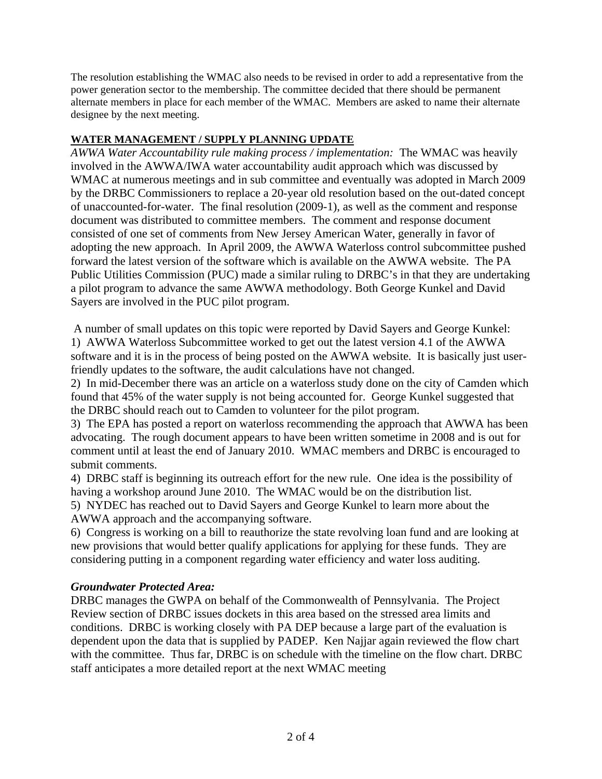The resolution establishing the WMAC also needs to be revised in order to add a representative from the power generation sector to the membership. The committee decided that there should be permanent alternate members in place for each member of the WMAC. Members are asked to name their alternate designee by the next meeting.

## **WATER MANAGEMENT / SUPPLY PLANNING UPDATE**

*AWWA Water Accountability rule making process / implementation:* The WMAC was heavily involved in the AWWA/IWA water accountability audit approach which was discussed by WMAC at numerous meetings and in sub committee and eventually was adopted in March 2009 by the DRBC Commissioners to replace a 20-year old resolution based on the out-dated concept of unaccounted-for-water. The final resolution (2009-1), as well as the comment and response document was distributed to committee members. The comment and response document consisted of one set of comments from New Jersey American Water, generally in favor of adopting the new approach. In April 2009, the AWWA Waterloss control subcommittee pushed forward the latest version of the software which is available on the AWWA website. The PA Public Utilities Commission (PUC) made a similar ruling to DRBC's in that they are undertaking a pilot program to advance the same AWWA methodology. Both George Kunkel and David Sayers are involved in the PUC pilot program.

 A number of small updates on this topic were reported by David Sayers and George Kunkel: 1) AWWA Waterloss Subcommittee worked to get out the latest version 4.1 of the AWWA software and it is in the process of being posted on the AWWA website. It is basically just userfriendly updates to the software, the audit calculations have not changed.

2) In mid-December there was an article on a waterloss study done on the city of Camden which found that 45% of the water supply is not being accounted for. George Kunkel suggested that the DRBC should reach out to Camden to volunteer for the pilot program.

3) The EPA has posted a report on waterloss recommending the approach that AWWA has been advocating. The rough document appears to have been written sometime in 2008 and is out for comment until at least the end of January 2010. WMAC members and DRBC is encouraged to submit comments.

4) DRBC staff is beginning its outreach effort for the new rule. One idea is the possibility of having a workshop around June 2010. The WMAC would be on the distribution list.

5) NYDEC has reached out to David Sayers and George Kunkel to learn more about the AWWA approach and the accompanying software.

6) Congress is working on a bill to reauthorize the state revolving loan fund and are looking at new provisions that would better qualify applications for applying for these funds. They are considering putting in a component regarding water efficiency and water loss auditing.

# *Groundwater Protected Area:*

DRBC manages the GWPA on behalf of the Commonwealth of Pennsylvania. The Project Review section of DRBC issues dockets in this area based on the stressed area limits and conditions. DRBC is working closely with PA DEP because a large part of the evaluation is dependent upon the data that is supplied by PADEP. Ken Najjar again reviewed the flow chart with the committee. Thus far, DRBC is on schedule with the timeline on the flow chart. DRBC staff anticipates a more detailed report at the next WMAC meeting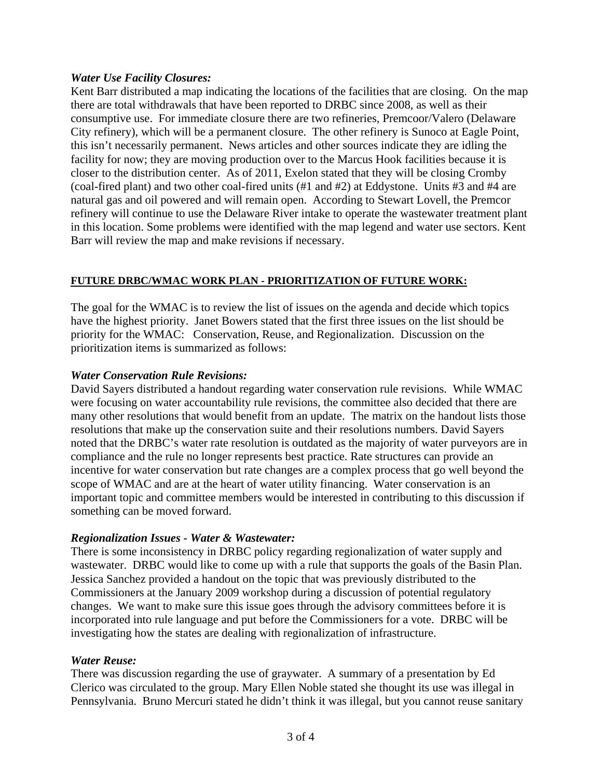## *Water Use Facility Closures:*

Kent Barr distributed a map indicating the locations of the facilities that are closing. On the map there are total withdrawals that have been reported to DRBC since 2008, as well as their consumptive use. For immediate closure there are two refineries, Premcoor/Valero (Delaware City refinery), which will be a permanent closure. The other refinery is Sunoco at Eagle Point, this isn't necessarily permanent. News articles and other sources indicate they are idling the facility for now; they are moving production over to the Marcus Hook facilities because it is closer to the distribution center. As of 2011, Exelon stated that they will be closing Cromby (coal-fired plant) and two other coal-fired units (#1 and #2) at Eddystone. Units #3 and #4 are natural gas and oil powered and will remain open. According to Stewart Lovell, the Premcor refinery will continue to use the Delaware River intake to operate the wastewater treatment plant in this location. Some problems were identified with the map legend and water use sectors. Kent Barr will review the map and make revisions if necessary.

# **FUTURE DRBC/WMAC WORK PLAN - PRIORITIZATION OF FUTURE WORK:**

The goal for the WMAC is to review the list of issues on the agenda and decide which topics have the highest priority. Janet Bowers stated that the first three issues on the list should be priority for the WMAC: Conservation, Reuse, and Regionalization. Discussion on the prioritization items is summarized as follows:

## *Water Conservation Rule Revisions:*

David Sayers distributed a handout regarding water conservation rule revisions. While WMAC were focusing on water accountability rule revisions, the committee also decided that there are many other resolutions that would benefit from an update. The matrix on the handout lists those resolutions that make up the conservation suite and their resolutions numbers. David Sayers noted that the DRBC's water rate resolution is outdated as the majority of water purveyors are in compliance and the rule no longer represents best practice. Rate structures can provide an incentive for water conservation but rate changes are a complex process that go well beyond the scope of WMAC and are at the heart of water utility financing. Water conservation is an important topic and committee members would be interested in contributing to this discussion if something can be moved forward.

# *Regionalization Issues - Water & Wastewater:*

There is some inconsistency in DRBC policy regarding regionalization of water supply and wastewater. DRBC would like to come up with a rule that supports the goals of the Basin Plan. Jessica Sanchez provided a handout on the topic that was previously distributed to the Commissioners at the January 2009 workshop during a discussion of potential regulatory changes. We want to make sure this issue goes through the advisory committees before it is incorporated into rule language and put before the Commissioners for a vote. DRBC will be investigating how the states are dealing with regionalization of infrastructure.

# *Water Reuse:*

There was discussion regarding the use of graywater. A summary of a presentation by Ed Clerico was circulated to the group. Mary Ellen Noble stated she thought its use was illegal in Pennsylvania. Bruno Mercuri stated he didn't think it was illegal, but you cannot reuse sanitary